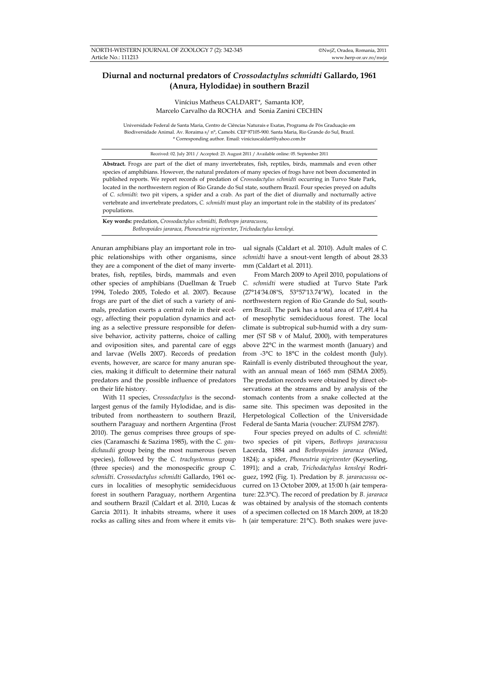## **Diurnal and nocturnal predators of** *Crossodactylus schmidti* **Gallardo, 1961 (Anura, Hylodidae) in southern Brazil**

Vinícius Matheus CALDART*\**, Samanta IOP, Marcelo Carvalho da ROCHA and Sonia Zanini CECHIN

Universidade Federal de Santa Maria, Centro de Ciências Naturais e Exatas, Programa de Pós Graduação em Biodiversidade Animal. Av. Roraima s/ n°, Camobi. CEP 97105-900. Santa Maria, Rio Grande do Sul, Brazil. \* Corresponding author. Email: viniciuscaldart@yahoo.com.br

Received: 02. July 2011 / Accepted: 23. August 2011 / Available online: 05. September 2011

**Abstract.** Frogs are part of the diet of many invertebrates, fish, reptiles, birds, mammals and even other species of amphibians. However, the natural predators of many species of frogs have not been documented in published reports. We report records of predation of *Crossodactylus schmidti* occurring in Turvo State Park, located in the northwestern region of Rio Grande do Sul state, southern Brazil. Four species preyed on adults of *C. schmidti*: two pit vipers, a spider and a crab. As part of the diet of diurnally and nocturnally active vertebrate and invertebrate predators, *C. schmidti* must play an important role in the stability of its predators' populations.

**Key words:** predation, *Crossodactylus schmidti, Bothrops jararacussu, Bothropoides jararaca, Phoneutria nigriventer*, *Trichodactylus kensleyi.* 

Anuran amphibians play an important role in trophic relationships with other organisms, since they are a component of the diet of many invertebrates, fish, reptiles, birds, mammals and even other species of amphibians (Duellman & Trueb 1994, Toledo 2005, Toledo et al. 2007). Because frogs are part of the diet of such a variety of animals, predation exerts a central role in their ecology, affecting their population dynamics and acting as a selective pressure responsible for defensive behavior, activity patterns, choice of calling and oviposition sites, and parental care of eggs and larvae (Wells 2007). Records of predation events, however, are scarce for many anuran species, making it difficult to determine their natural predators and the possible influence of predators on their life history.

With 11 species, *Crossodactylus* is the secondlargest genus of the family Hylodidae, and is distributed from northeastern to southern Brazil, southern Paraguay and northern Argentina (Frost 2010). The genus comprises three groups of species (Caramaschi & Sazima 1985), with the *C. gaudichaudii* group being the most numerous (seven species), followed by the *C. trachystomus* group (three species) and the monospecific group *C. schmidti*. *Crossodactylus schmidti* Gallardo, 1961 occurs in localities of mesophytic semideciduous forest in southern Paraguay, northern Argentina and southern Brazil (Caldart et al. 2010, Lucas & Garcia 2011). It inhabits streams, where it uses rocks as calling sites and from where it emits visual signals (Caldart et al. 2010). Adult males of *C. schmidti* have a snout-vent length of about 28.33 mm (Caldart et al. 2011).

From March 2009 to April 2010, populations of *C. schmidti* were studied at Turvo State Park (27°14'34.08"S, 53°57'13.74"W), located in the northwestern region of Rio Grande do Sul, southern Brazil. The park has a total area of 17,491.4 ha of mesophytic semideciduous forest. The local climate is subtropical sub-humid with a dry summer (ST SB v of Maluf, 2000), with temperatures above 22°C in the warmest month (January) and from -3°C to 18°C in the coldest month (July). Rainfall is evenly distributed throughout the year, with an annual mean of 1665 mm (SEMA 2005). The predation records were obtained by direct observations at the streams and by analysis of the stomach contents from a snake collected at the same site. This specimen was deposited in the Herpetological Collection of the Universidade Federal de Santa Maria (voucher: ZUFSM 2787).

Four species preyed on adults of *C. schmidti*: two species of pit vipers, *Bothrops jararacussu* Lacerda, 1884 and *Bothropoides jararaca* (Wied, 1824); a spider, *Phoneutria nigriventer* (Keyserling, 1891); and a crab, *Trichodactylus kensleyi* Rodríguez, 1992 (Fig. 1). Predation by *B. jararacussu* occurred on 13 October 2009, at 15:00 h (air temperature: 22.3°C). The record of predation by *B. jararaca* was obtained by analysis of the stomach contents of a specimen collected on 18 March 2009, at 18:20 h (air temperature: 21°C). Both snakes were juve-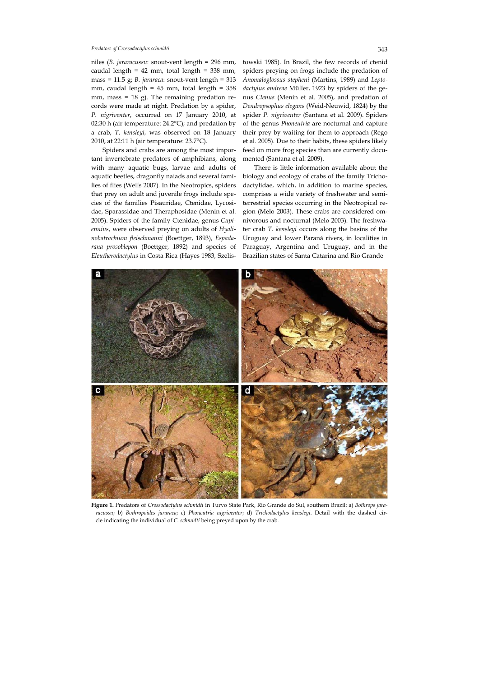## *Predators of Crossodactylus schmidti* 343

niles (*B. jararacussu*: snout-vent length = 296 mm, caudal length = 42 mm, total length = 338 mm, mass = 11.5 g; *B. jararaca*: snout-vent length = 313 mm, caudal length = 45 mm, total length = 358 mm, mass = 18 g). The remaining predation records were made at night. Predation by a spider, *P. nigriventer*, occurred on 17 January 2010, at 02:30 h (air temperature: 24.2°C); and predation by a crab, *T. kensleyi*, was observed on 18 January 2010, at 22:11 h (air temperature: 23.7°C).

Spiders and crabs are among the most important invertebrate predators of amphibians, along with many aquatic bugs, larvae and adults of aquatic beetles, dragonfly naiads and several families of flies (Wells 2007). In the Neotropics, spiders that prey on adult and juvenile frogs include species of the families Pisauridae, Ctenidae, Lycosidae, Sparassidae and Theraphosidae (Menin et al. 2005). Spiders of the family Ctenidae, genus *Cupiennius*, were observed preying on adults of *Hyalinobatrachium fleischmanni* (Boettger, 1893), *Espadarana prosoblepon* (Boettger, 1892) and species of *Eleutherodactylus* in Costa Rica (Hayes 1983, Szelis-

towski 1985). In Brazil, the few records of ctenid spiders preying on frogs include the predation of *Anomaloglossus stepheni* (Martins, 1989) and *Leptodactylus andreae* Müller, 1923 by spiders of the genus *Ctenus* (Menin et al. 2005), and predation of *Dendropsophus elegans* (Weid-Neuwid, 1824) by the spider *P. nigriventer* (Santana et al. 2009). Spiders of the genus *Phoneutria* are nocturnal and capture their prey by waiting for them to approach (Rego et al. 2005). Due to their habits, these spiders likely feed on more frog species than are currently documented (Santana et al. 2009).

There is little information available about the biology and ecology of crabs of the family Trichodactylidae, which, in addition to marine species, comprises a wide variety of freshwater and semiterrestrial species occurring in the Neotropical region (Melo 2003). These crabs are considered omnivorous and nocturnal (Melo 2003). The freshwater crab *T. kensleyi* occurs along the basins of the Uruguay and lower Paraná rivers, in localities in Paraguay, Argentina and Uruguay, and in the Brazilian states of Santa Catarina and Rio Grande



**Figure 1.** Predators of *Crossodactylus schmidti* in Turvo State Park, Rio Grande do Sul, southern Brazil: a) *Bothrops jararacussu*; b) *Bothropoides jararaca*; c) *Phoneutria nigriventer*; d) *Trichodactylus kensleyi*. Detail with the dashed circle indicating the individual of *C. schmidti* being preyed upon by the crab*.*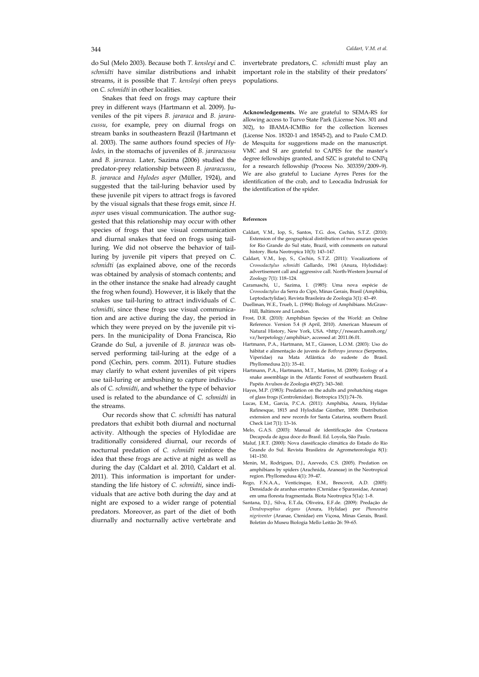do Sul (Melo 2003). Because both *T. kensleyi* and *C. schmidti* have similar distributions and inhabit streams, it is possible that *T. kensleyi* often preys on *C. schmidti* in other localities.

Snakes that feed on frogs may capture their prey in different ways (Hartmann et al. 2009). Juveniles of the pit vipers *B. jararaca* and *B. jararacussu*, for example, prey on diurnal frogs on stream banks in southeastern Brazil (Hartmann et al. 2003). The same authors found species of *Hylodes,* in the stomachs of juveniles of *B. jararacussu* and *B. jararaca*. Later, Sazima (2006) studied the predator-prey relationship between *B. jararacussu*, *B. jararaca* and *Hylodes asper* (Müller, 1924), and suggested that the tail-luring behavior used by these juvenile pit vipers to attract frogs is favored by the visual signals that these frogs emit, since *H*. *asper* uses visual communication. The author suggested that this relationship may occur with other species of frogs that use visual communication and diurnal snakes that feed on frogs using tailluring. We did not observe the behavior of tailluring by juvenile pit vipers that preyed on *C. schmidti* (as explained above, one of the records was obtained by analysis of stomach contents; and in the other instance the snake had already caught the frog when found). However, it is likely that the snakes use tail-luring to attract individuals of *C. schmidti*, since these frogs use visual communication and are active during the day, the period in which they were preyed on by the juvenile pit vipers. In the municipality of Dona Francisca, Rio Grande do Sul, a juvenile of *B. jararaca* was observed performing tail-luring at the edge of a pond (Cechin, pers. comm. 2011). Future studies may clarify to what extent juveniles of pit vipers use tail-luring or ambushing to capture individuals of *C. schmidti*, and whether the type of behavior used is related to the abundance of *C. schmidti* in the streams.

Our records show that *C. schmidti* has natural predators that exhibit both diurnal and nocturnal activity. Although the species of Hylodidae are traditionally considered diurnal, our records of nocturnal predation of *C. schmidti* reinforce the idea that these frogs are active at night as well as during the day (Caldart et al. 2010, Caldart et al. 2011). This information is important for understanding the life history of *C. schmidti*, since individuals that are active both during the day and at night are exposed to a wider range of potential predators. Moreover, as part of the diet of both diurnally and nocturnally active vertebrate and invertebrate predators, *C. schmidti* must play an important role in the stability of their predators' populations.

**Acknowledgements.** We are grateful to SEMA-RS for allowing access to Turvo State Park (License Nos. 301 and 302), to IBAMA-ICMBio for the collection licenses (License Nos. 18320-1 and 18545-2), and to Paulo C.M.D. de Mesquita for suggestions made on the manuscript. VMC and SI are grateful to CAPES for the master's degree fellowships granted, and SZC is grateful to CNPq for a research fellowship (Process No. 303359/2009–9). We are also grateful to Luciane Ayres Peres for the identification of the crab, and to Leocadia Indrusiak for the identification of the spider.

## **References**

- Caldart, V.M., Iop, S., Santos, T.G. dos, Cechin, S.T.Z. (2010): Extension of the geographical distribution of two anuran species for Rio Grande do Sul state, Brazil, with comments on natural history. Biota Neotropica 10(3): 143–147.
- Caldart, V.M., Iop, S., Cechin, S.T.Z. (2011): Vocalizations of *Crossodactylus schmidti* Gallardo, 1961 (Anura, Hylodidae): advertisement call and aggressive call. North-Western Journal of Zoology 7(1): 118–124.
- Caramaschi, U., Sazima, I. (1985): Uma nova espécie de *Crossodactylus* da Serra do Cipó, Minas Gerais, Brasil (Amphibia, Leptodactylidae). Revista Brasileira de Zoologia 3(1): 43–49.
- Duellman, W.E., Trueb, L. (1994): Biology of Amphibians. McGraw-Hill, Baltimore and London.
- Frost, D.R. (2010): Amphibian Species of the World: an Online Reference. Version 5.4 (8 April, 2010). American Museum of Natural History, New York, USA. <http://research.amnh.org/ vz/herpetology/amphibia>, accessed at: 2011.06.01.
- Hartmann, P.A., Hartmann, M.T., Giasson, L.O.M. (2003): Uso do hábitat e alimentação de juvenis de *Bothrops jararaca* (Serpentes, Viperidae) na Mata Atlântica do sudeste do Brasil. Phyllomedusa 2(1): 35–41.
- Hartmann, P.A., Hartmann, M.T., Martins, M. (2009): Ecology of a snake assemblage in the Atlantic Forest of southeastern Brazil. Papéis Avulsos de Zoologia 49(27): 343–360.
- Hayes, M.P. (1983): Predation on the adults and prehatching stages of glass frogs (Centrolenidae). Biotropica 15(1):74–76.
- Lucas, E.M., Garcia, P.C.A. (2011): Amphibia, Anura, Hylidae Rafinesque, 1815 and Hylodidae Günther, 1858: Distribution extension and new records for Santa Catarina, southern Brazil. Check List 7(1): 13–16.
- Melo, G.A.S. (2003): Manual de identificação dos Crustacea Decapoda de água doce do Brasil. Ed. Loyola, São Paulo.
- Maluf*,* J.R.T. (2000): Nova classificação climática do Estado do Rio Grande do Sul*.* Revista Brasileira de Agrometeorologia 8(1): 141–150.
- Menin, M., Rodrigues, D.J., Azevedo, C.S. (2005). Predation on amphibians by spiders (Arachnida, Araneae) in the Neotropical region. Phyllomedusa 4(1): 39–47.
- Rego, F.N.A.A., Venticinque, E.M., Brescovit, A.D. (2005): Densidade de aranhas errantes (Ctenidae e Sparassidae, Aranae) em uma floresta fragmentada. Biota Neotropica 5(1a): 1–8.
- Santana, D.J., Silva, E.T.da, Oliveira, E.F.de. (2009): Predação de *Dendropsophus elegans* (Anura, Hylidae) por *Phoneutria nigriventer* (Aranae, Ctenidae) em Viçosa, Minas Gerais, Brasil. Boletim do Museu Biologia Mello Leitão 26: 59–65.